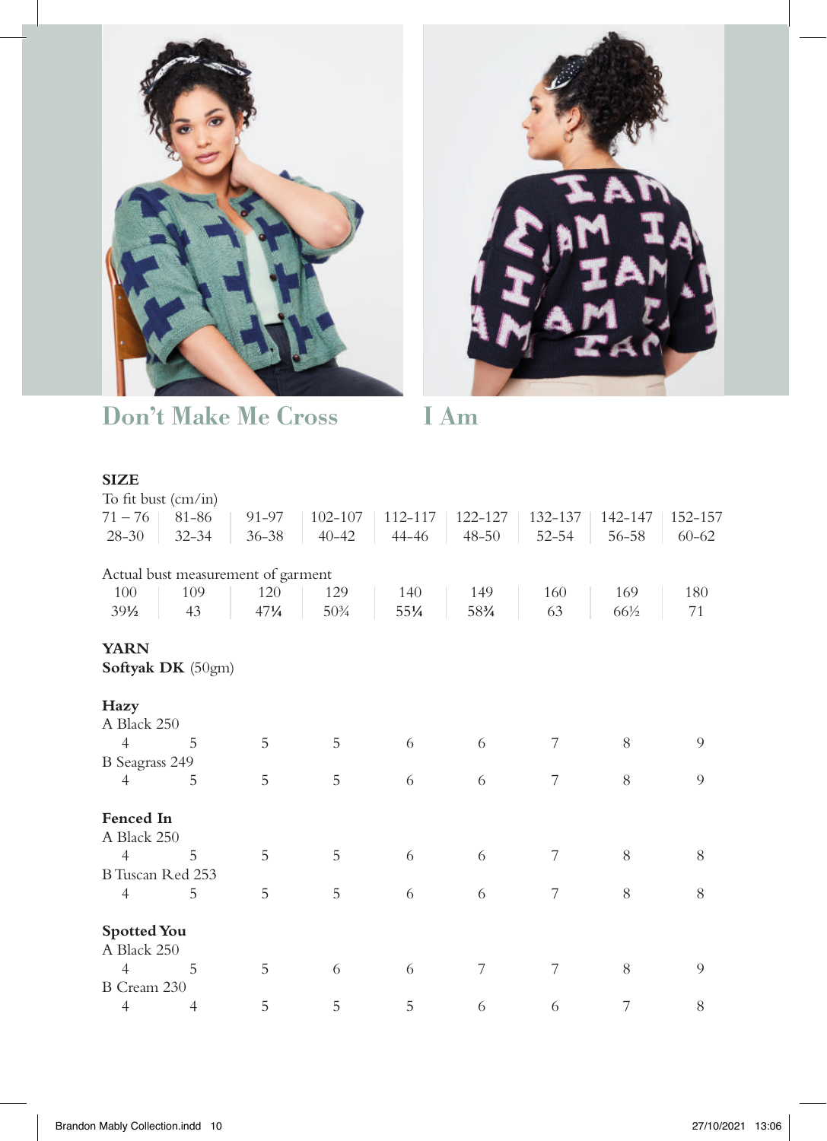



Don't Make Me Cross I Am

## **SIZE**

| To fit bust $\text{(cm/in)}$ |                                    |           |             |         |           |           |         |           |
|------------------------------|------------------------------------|-----------|-------------|---------|-----------|-----------|---------|-----------|
| $71 - 76$                    | 81-86                              | 91-97     | $102 - 107$ | 112-117 | 122-127   | 132-137   | 142-147 | 152-157   |
| $28 - 30$                    | $32 - 34$                          | $36 - 38$ | $40 - 42$   | 44-46   | $48 - 50$ | $52 - 54$ | 56-58   | $60 - 62$ |
|                              |                                    |           |             |         |           |           |         |           |
|                              | Actual bust measurement of garment |           |             |         |           |           |         |           |
| 100                          | 109                                | 120       | 129         | 140     | 149       | 160       | 169     | 180       |
| $39\frac{1}{2}$              | 43                                 | 471/4     | $50\%$      | 551/4   | 583/4     | 63        | 66½     | 71        |
| <b>YARN</b>                  |                                    |           |             |         |           |           |         |           |
|                              | Softyak DK (50gm)                  |           |             |         |           |           |         |           |
| Hazy                         |                                    |           |             |         |           |           |         |           |
| A Black 250                  |                                    |           |             |         |           |           |         |           |
| 4                            | 5                                  | 5         | 5           | 6       | 6         | 7         | 8       | 9         |
|                              |                                    |           |             |         |           |           |         |           |
| <b>B</b> Seagrass 249        |                                    |           |             |         |           |           |         |           |
| 4                            | 5                                  | 5         | 5           | 6       | 6         | 7         | 8       | 9         |
| Fenced In                    |                                    |           |             |         |           |           |         |           |
| A Black 250                  |                                    |           |             |         |           |           |         |           |
| $\overline{4}$               | 5                                  | 5         | 5           | 6       | 6         | 7         | 8       | 8         |
| B Tuscan Red 253             |                                    |           |             |         |           |           |         |           |
| $\overline{4}$               | 5                                  | 5         | 5           | 6       | 6         | 7         | 8       | 8         |
| <b>Spotted You</b>           |                                    |           |             |         |           |           |         |           |
| A Black 250                  |                                    |           |             |         |           |           |         |           |
| 4                            | 5                                  | 5         | 6           | 6       | 7         | 7         | 8       | 9         |
| B Cream 230                  |                                    |           |             |         |           |           |         |           |
| $\overline{4}$               | 4                                  | 5         | 5           | 5       | 6         | 6         | 7       | 8         |